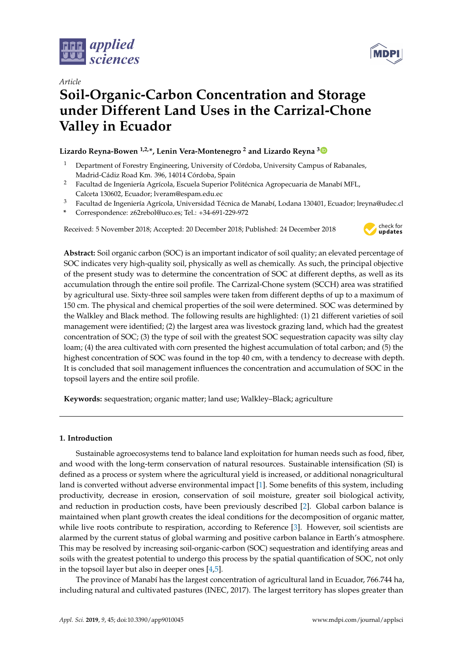





# **Soil-Organic-Carbon Concentration and Storage under Different Land Uses in the Carrizal-Chone Valley in Ecuador**

# **Lizardo Reyna-Bowen 1,2,\*, Lenin Vera-Montenegro <sup>2</sup> and Lizardo Reyna [3](https://orcid.org/0000-0003-0191-8908)**

- <sup>1</sup> Department of Forestry Engineering, University of Córdoba, University Campus of Rabanales, Madrid-Cádiz Road Km. 396, 14014 Córdoba, Spain
- <sup>2</sup> Facultad de Ingeniería Agrícola, Escuela Superior Politécnica Agropecuaria de Manabí MFL, Calceta 130602, Ecuador; lveram@espam.edu.ec
- <sup>3</sup> Facultad de Ingeniería Agrícola, Universidad Técnica de Manabí, Lodana 130401, Ecuador; lreyna@udec.cl
- **\*** Correspondence: z62rebol@uco.es; Tel.: +34-691-229-972

Received: 5 November 2018; Accepted: 20 December 2018; Published: 24 December 2018



**Abstract:** Soil organic carbon (SOC) is an important indicator of soil quality; an elevated percentage of SOC indicates very high-quality soil, physically as well as chemically. As such, the principal objective of the present study was to determine the concentration of SOC at different depths, as well as its accumulation through the entire soil profile. The Carrizal-Chone system (SCCH) area was stratified by agricultural use. Sixty-three soil samples were taken from different depths of up to a maximum of 150 cm. The physical and chemical properties of the soil were determined. SOC was determined by the Walkley and Black method. The following results are highlighted: (1) 21 different varieties of soil management were identified; (2) the largest area was livestock grazing land, which had the greatest concentration of SOC; (3) the type of soil with the greatest SOC sequestration capacity was silty clay loam; (4) the area cultivated with corn presented the highest accumulation of total carbon; and (5) the highest concentration of SOC was found in the top 40 cm, with a tendency to decrease with depth. It is concluded that soil management influences the concentration and accumulation of SOC in the topsoil layers and the entire soil profile.

**Keywords:** sequestration; organic matter; land use; Walkley–Black; agriculture

# **1. Introduction**

Sustainable agroecosystems tend to balance land exploitation for human needs such as food, fiber, and wood with the long-term conservation of natural resources. Sustainable intensification (SI) is defined as a process or system where the agricultural yield is increased, or additional nonagricultural land is converted without adverse environmental impact [\[1\]](#page-7-0). Some benefits of this system, including productivity, decrease in erosion, conservation of soil moisture, greater soil biological activity, and reduction in production costs, have been previously described [\[2\]](#page-7-1). Global carbon balance is maintained when plant growth creates the ideal conditions for the decomposition of organic matter, while live roots contribute to respiration, according to Reference [\[3\]](#page-7-2). However, soil scientists are alarmed by the current status of global warming and positive carbon balance in Earth's atmosphere. This may be resolved by increasing soil-organic-carbon (SOC) sequestration and identifying areas and soils with the greatest potential to undergo this process by the spatial quantification of SOC, not only in the topsoil layer but also in deeper ones [\[4,](#page-7-3)[5\]](#page-7-4).

The province of Manabí has the largest concentration of agricultural land in Ecuador, 766.744 ha, including natural and cultivated pastures (INEC, 2017). The largest territory has slopes greater than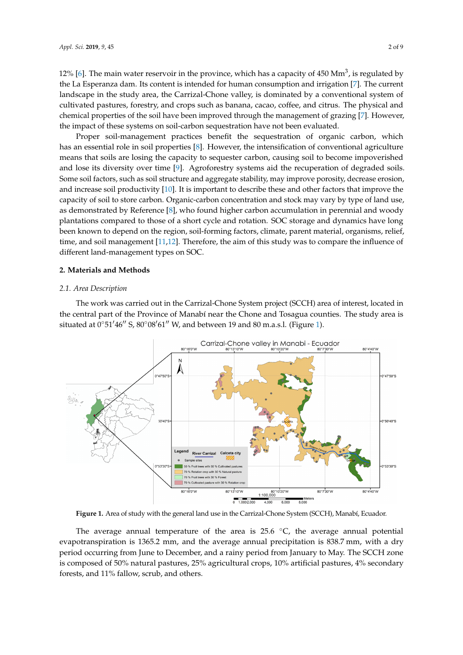12% [\[6\]](#page-7-5). The main water reservoir in the province, which has a capacity of 450 Mm<sup>3</sup>, is regulated by the La Esperanza dam. Its content is intended for human consumption and irrigation [\[7\]](#page-7-6). The current landscape in the study area, the Carrizal-Chone valley, is dominated by a conventional system of cultivated pastures, forestry, and crops such as banana, cacao, coffee, and citrus. The physical and chemical properties of the soil have been improved through the management of grazing [\[7\]](#page-7-6). However, the impact of these systems on soil-carbon sequestration have not been evaluated.

Proper soil-management practices benefit the sequestration of organic carbon, which has an essential role in soil properties [\[8\]](#page-7-7). However, the intensification of conventional agriculture means that soils are losing the capacity to sequester carbon, causing soil to become impoverished and lose its diversity over time [\[9\]](#page-7-8). Agroforestry systems aid the recuperation of degraded soils. Some soil factors, such as soil structure and aggregate stability, may improve porosity, decrease erosion, and increase soil productivity [\[10\]](#page-7-9). It is important to describe these and other factors that improve the capacity of soil to store carbon. Organic-carbon concentration and stock may vary by type of land use, as demonstrated by Reference [\[8\]](#page-7-7), who found higher carbon accumulation in perennial and woody plantations compared to those of a short cycle and rotation. SOC storage and dynamics have long been known to depend on the region, soil-forming factors, climate, parent material, organisms, relief, time, and soil management [\[11](#page-7-10)[,12\]](#page-7-11). Therefore, the aim of this study was to compare the influence of different land-management types on SOC.

#### **2. Materials and Methods**

#### *2.1. Area Description*

The work was carried out in the Carrizal-Chone System project (SCCH) area of interest, located in the central part of the Province of Manabí near the Chone and Tosagua counties. The study area is situated at  $0°51'46''$  S,  $80°08'61''$  W, and between 19 and 80 m.a.s.l. (Figure [1\)](#page-1-0).

<span id="page-1-0"></span>

**Figure 1.** Area of study with the general land use in the Carrizal-Chone System (SCCH), Manabí, Ecuador.

The average annual temperature of the area is 25.6  $°C$ , the average annual potential evapotranspiration is 1365.2 mm, and the average annual precipitation is 838.7 mm, with a dry period occurring from June to December, and a rainy period from January to May. The SCCH zone is composed of 50% natural pastures, 25% agricultural crops, 10% artificial pastures, 4% secondary forests, and 11% fallow, scrub, and others.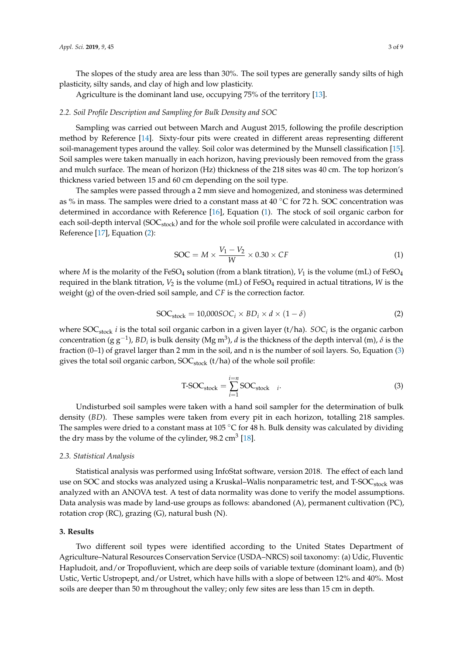The slopes of the study area are less than 30%. The soil types are generally sandy silts of high plasticity, silty sands, and clay of high and low plasticity.

Agriculture is the dominant land use, occupying 75% of the territory [\[13\]](#page-8-0).

#### *2.2. Soil Profile Description and Sampling for Bulk Density and SOC*

Sampling was carried out between March and August 2015, following the profile description method by Reference [\[14\]](#page-8-1). Sixty-four pits were created in different areas representing different soil-management types around the valley. Soil color was determined by the Munsell classification [\[15\]](#page-8-2). Soil samples were taken manually in each horizon, having previously been removed from the grass and mulch surface. The mean of horizon (Hz) thickness of the 218 sites was 40 cm. The top horizon's thickness varied between 15 and 60 cm depending on the soil type.

The samples were passed through a 2 mm sieve and homogenized, and stoniness was determined as % in mass. The samples were dried to a constant mass at  $40 °C$  for 72 h. SOC concentration was determined in accordance with Reference [\[16\]](#page-8-3), Equation [\(1\)](#page-2-0). The stock of soil organic carbon for each soil-depth interval (SOC<sub>stock</sub>) and for the whole soil profile were calculated in accordance with Reference [\[17\]](#page-8-4), Equation [\(2\)](#page-2-1):

<span id="page-2-0"></span>
$$
SOC = M \times \frac{V_1 - V_2}{W} \times 0.30 \times CF
$$
 (1)

where *M* is the molarity of the FeSO<sub>4</sub> solution (from a blank titration),  $V_1$  is the volume (mL) of FeSO<sub>4</sub> required in the blank titration,  $V_2$  is the volume (mL) of FeSO<sub>4</sub> required in actual titrations, *W* is the weight (g) of the oven-dried soil sample, and *CF* is the correction factor.

<span id="page-2-1"></span>
$$
SOC_{stock} = 10,000 SOC_i \times BD_i \times d \times (1 - \delta)
$$
 (2)

where  $SOC_{stock}$  *i* is the total soil organic carbon in a given layer (t/ha). *SOC<sub>i</sub>* is the organic carbon concentration (g  $g^{-1}$ ),  $BD_i$  is bulk density (Mg m<sup>3</sup>), *d* is the thickness of the depth interval (m),  $\delta$  is the fraction (0–1) of gravel larger than 2 mm in the soil, and n is the number of soil layers. So, Equation [\(3\)](#page-2-2) gives the total soil organic carbon,  $SOC_{stock}$  (t/ha) of the whole soil profile:

<span id="page-2-2"></span>
$$
T\text{-}SOC_{\text{stock}} = \sum_{i=1}^{i=n} SOC_{\text{stock}} \quad i. \tag{3}
$$

Undisturbed soil samples were taken with a hand soil sampler for the determination of bulk density (*BD*). These samples were taken from every pit in each horizon, totalling 218 samples. The samples were dried to a constant mass at 105  $\degree$ C for 48 h. Bulk density was calculated by dividing the dry mass by the volume of the cylinder,  $98.2 \text{ cm}^3$  [\[18\]](#page-8-5).

#### *2.3. Statistical Analysis*

Statistical analysis was performed using InfoStat software, version 2018. The effect of each land use on SOC and stocks was analyzed using a Kruskal-Walis nonparametric test, and T-SOC<sub>stock</sub> was analyzed with an ANOVA test. A test of data normality was done to verify the model assumptions. Data analysis was made by land-use groups as follows: abandoned (A), permanent cultivation (PC), rotation crop (RC), grazing (G), natural bush (N).

# **3. Results**

Two different soil types were identified according to the United States Department of Agriculture–Natural Resources Conservation Service (USDA–NRCS) soil taxonomy: (a) Udic, Fluventic Hapludoit, and/or Tropofluvient, which are deep soils of variable texture (dominant loam), and (b) Ustic, Vertic Ustropept, and/or Ustret, which have hills with a slope of between 12% and 40%. Most soils are deeper than 50 m throughout the valley; only few sites are less than 15 cm in depth.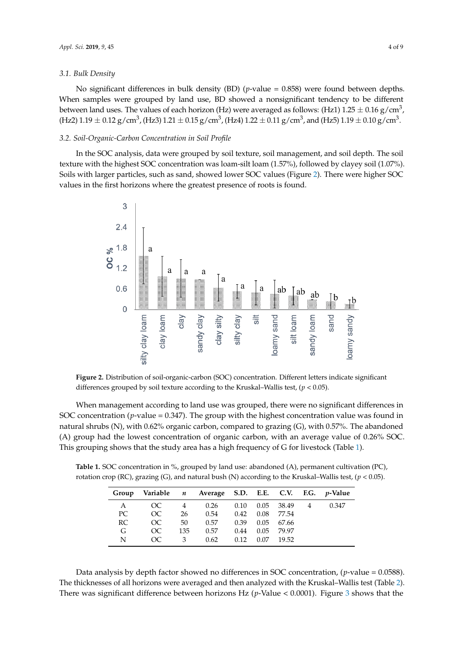#### *3.1. Bulk Density*

No significant differences in bulk density (BD) (*p*-value = 0.858) were found between depths. When samples were grouped by land use, BD showed a nonsignificant tendency to be different between land uses. The values of each horizon (Hz) were averaged as follows: (Hz1) 1.25  $\pm$  0.16 g/cm $^3$ , (Hz2)  $1.19\pm0.12$  g/cm $^3$ , (Hz3)  $1.21\pm0.15$  g/cm $^3$ , (Hz4)  $1.22\pm0.11$  g/cm $^3$ , and (Hz5)  $1.19\pm0.10$  g/cm $^3$ .

#### *3.2. Soil-Organic-Carbon Concentration in Soil Profile*

In the SOC analysis, data were grouped by soil texture, soil management, and soil depth. The soil texture with the highest SOC concentration was loam-silt loam (1.57%), followed by clayey soil (1.07%). Soils with larger particles, such as sand, showed lower SOC values (Figure [2\)](#page-3-0). There were higher SOC values in the first horizons where the greatest presence of roots is found.

<span id="page-3-0"></span>

**Figure 2.** Distribution of soil-organic-carbon (SOC) concentration. Different letters indicate significant differences grouped by soil texture according to the Kruskal–Wallis test, (*p* < 0.05).

When management according to land use was grouped, there were no significant differences in SOC concentration (*p*-value = 0.347). The group with the highest concentration value was found in natural shrubs (N), with 0.62% organic carbon, compared to grazing (G), with 0.57%. The abandoned (A) group had the lowest concentration of organic carbon, with an average value of 0.26% SOC. This grouping shows that the study area has a high frequency of G for livestock (Table [1\)](#page-3-1).

<span id="page-3-1"></span>**Table 1.** SOC concentration in %, grouped by land use: abandoned (A), permanent cultivation (PC), rotation crop (RC), grazing (G), and natural bush (N) according to the Kruskal–Wallis test, (*p* < 0.05).

| Group | Variable <i>n</i> Average S.D. E.E. C.V. F.G. <i>p</i> -Value |     |      |      |      |                |       |
|-------|---------------------------------------------------------------|-----|------|------|------|----------------|-------|
| A     | OC                                                            | 4   | 0.26 | 0.10 |      | $0.05$ 38.49 4 | 0.347 |
| PC    | OC                                                            | 26  | 0.54 | 0.42 | 0.08 | 77.54          |       |
| RC.   | OC.                                                           | 50  | 0.57 | 0.39 | 0.05 | 67.66          |       |
| G     | OC.                                                           | 135 | 0.57 | 0.44 | 0.05 | 79.97          |       |
| N     | OC                                                            | 3   | 0.62 | 0.12 | 0.07 | 19.52          |       |

Data analysis by depth factor showed no differences in SOC concentration, (*p*-value = 0.0588). The thicknesses of all horizons were averaged and then analyzed with the Kruskal–Wallis test (Table [2\)](#page-4-0). There was significant difference between horizons Hz (*p*-Value < 0.0001). Figure [3](#page-4-1) shows that the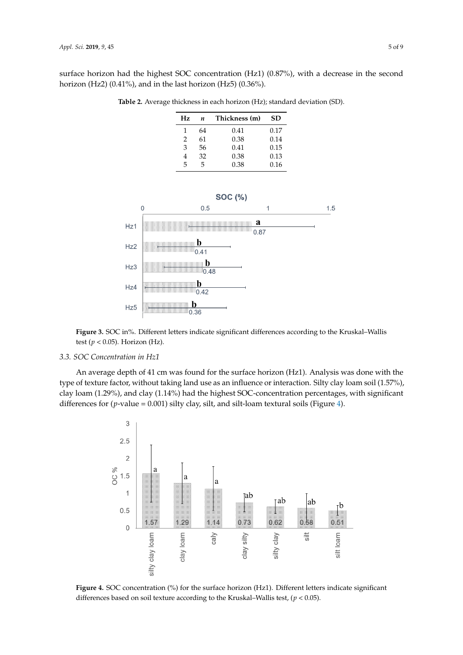<span id="page-4-0"></span>surface horizon had the highest SOC concentration (Hz1) (0.87%), with a decrease in the second horizon (Hz2) (0.41%), and in the last horizon (Hz5) (0.36%).

**Table 2.** Average thickness in each horizon (Hz); standard deviation (SD).

| Hz | п  | Thickness (m) | SD   |  |
|----|----|---------------|------|--|
| 1  | 64 | 0.41          | 0.17 |  |
| 2  | 61 | 0.38          | 0.14 |  |
| 3  | 56 | 0.41          | 0.15 |  |
| 4  | 32 | 0.38          | 0.13 |  |
| 5  | 5  | 0.38          | 0.16 |  |

<span id="page-4-1"></span>

**Figure 3.** SOC in%. Different letters indicate significant differences according to the Kruskal–Wallis test (*p* < 0.05). Horizon (Hz).

## *3.3. SOC Concentration in Hz1*

An average depth of 41 cm was found for the surface horizon (Hz1). Analysis was done with the type of texture factor, without taking land use as an influence or interaction. Silty clay loam soil (1.57%), clay loam (1.29%), and clay (1.14%) had the highest SOC-concentration percentages, with significant differences for (*p*-value = 0.001) silty clay, silt, and silt-loam textural soils (Figure [4\)](#page-4-2).

<span id="page-4-2"></span>

**Figure 4.** SOC concentration (%) for the surface horizon (Hz1). Different letters indicate significant differences based on soil texture according to the Kruskal–Wallis test, (*p* < 0.05).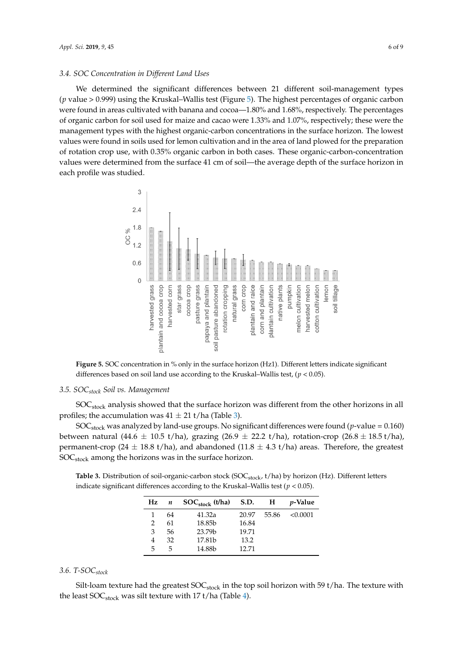## *3.4. SOC Concentration in Different Land Uses*

We determined the significant differences between 21 different soil-management types (*p* value > 0.999) using the Kruskal–Wallis test (Figure [5\)](#page-5-0). The highest percentages of organic carbon were found in areas cultivated with banana and cocoa-1.80% and 1.68%, respectively. The percentages of organic carbon for soil used for maize and cacao were 1.33% and 1.07%, respectively; these were the management types with the highest organic-carbon concentrations in the surface horizon. The lowest values were found in soils used for lemon cultivation and in the area of land plowed for the preparation of rotation crop use, with 0.35% organic carbon in both cases. These organic-carbon-concentration values were determined from the surface 41 cm of soil—the average depth of the surface horizon in each profile was studied.

<span id="page-5-0"></span>

**Figure 5.** SOC concentration in % only in the surface horizon (Hz1). Different letters indicate significant differences based on soil land use according to the Kruskal–Wallis test, (*p* < 0.05).

## *3.5. SOCstock Soil vs. Management*

SOC<sub>stock</sub> analysis showed that the surface horizon was different from the other horizons in all profiles; the accumulation was  $41 \pm 21$  t/ha (Table [3\)](#page-5-1).

SOCstock was analyzed by land-use groups. No significant differences were found (*p*-value = 0.160) between natural (44.6  $\pm$  10.5 t/ha), grazing (26.9  $\pm$  22.2 t/ha), rotation-crop (26.8  $\pm$  18.5 t/ha), permanent-crop (24  $\pm$  18.8 t/ha), and abandoned (11.8  $\pm$  4.3 t/ha) areas. Therefore, the greatest  $SOC<sub>stock</sub>$  among the horizons was in the surface horizon.

<span id="page-5-1"></span>Table 3. Distribution of soil-organic-carbon stock (SOC<sub>stock</sub>, t/ha) by horizon (Hz). Different letters indicate significant differences according to the Kruskal–Wallis test ( $p < 0.05$ ).

| Hz            | n  | $SOC_{stock}$ (t/ha) | <b>S.D.</b> | $\mathbf{H}$ | <i>p</i> -Value |
|---------------|----|----------------------|-------------|--------------|-----------------|
| 1             | 64 | 41.32a               | 20.97       | 55.86        | < 0.0001        |
| $\mathcal{P}$ | 61 | 18.85b               | 16.84       |              |                 |
| 3             | 56 | 23.79 <sub>b</sub>   | 19.71       |              |                 |
| 4             | 32 | 17.81b               | 13.2        |              |                 |
| 5             | 5  | 14.88b               | 12.71       |              |                 |

# *3.6. T-SOCstock*

Silt-loam texture had the greatest  $SOC<sub>stock</sub>$  in the top soil horizon with 59 t/ha. The texture with the least SOC<sub>stock</sub> was silt texture with 17 t/ha (Table [4\)](#page-6-0).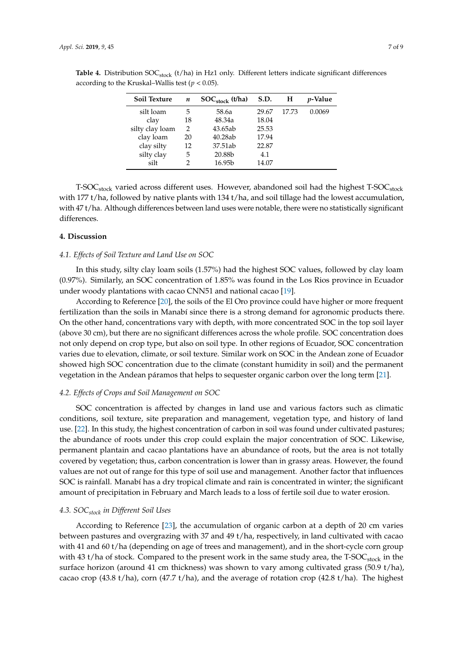| Soil Texture    | $\boldsymbol{n}$ | $SOC_{\text{stock}}$ (t/ha) | S.D.  | Н     | <i>p</i> -Value |
|-----------------|------------------|-----------------------------|-------|-------|-----------------|
| silt loam       | 5                | 58.6a                       | 29.67 | 17.73 | 0.0069          |
| clay            | 18               | 48.34a                      | 18.04 |       |                 |
| silty clay loam | 2                | 43.65ab                     | 25.53 |       |                 |
| clay loam       | 20               | 40.28ab                     | 17.94 |       |                 |
| clay silty      | 12               | 37.51ab                     | 22.87 |       |                 |
| silty clay      | 5                | 20.88b                      | 4.1   |       |                 |
| silt            |                  | 16.95 <sub>b</sub>          | 14.07 |       |                 |
|                 |                  |                             |       |       |                 |

<span id="page-6-0"></span>Table 4. Distribution SOC<sub>stock</sub> (t/ha) in Hz1 only. Different letters indicate significant differences according to the Kruskal–Wallis test ( $p < 0.05$ ).

T-SOC<sub>stock</sub> varied across different uses. However, abandoned soil had the highest T-SOC<sub>stock</sub> with 177 t/ha, followed by native plants with 134 t/ha, and soil tillage had the lowest accumulation, with 47 t/ha. Although differences between land uses were notable, there were no statistically significant differences.

# **4. Discussion**

## *4.1. Effects of Soil Texture and Land Use on SOC*

In this study, silty clay loam soils (1.57%) had the highest SOC values, followed by clay loam (0.97%). Similarly, an SOC concentration of 1.85% was found in the Los Rios province in Ecuador under woody plantations with cacao CNN51 and national cacao [\[19\]](#page-8-6).

According to Reference [\[20\]](#page-8-7), the soils of the El Oro province could have higher or more frequent fertilization than the soils in Manabí since there is a strong demand for agronomic products there. On the other hand, concentrations vary with depth, with more concentrated SOC in the top soil layer (above 30 cm), but there are no significant differences across the whole profile. SOC concentration does not only depend on crop type, but also on soil type. In other regions of Ecuador, SOC concentration varies due to elevation, climate, or soil texture. Similar work on SOC in the Andean zone of Ecuador showed high SOC concentration due to the climate (constant humidity in soil) and the permanent vegetation in the Andean páramos that helps to sequester organic carbon over the long term [\[21\]](#page-8-8).

## *4.2. Effects of Crops and Soil Management on SOC*

SOC concentration is affected by changes in land use and various factors such as climatic conditions, soil texture, site preparation and management, vegetation type, and history of land use. [\[22\]](#page-8-9). In this study, the highest concentration of carbon in soil was found under cultivated pastures; the abundance of roots under this crop could explain the major concentration of SOC. Likewise, permanent plantain and cacao plantations have an abundance of roots, but the area is not totally covered by vegetation; thus, carbon concentration is lower than in grassy areas. However, the found values are not out of range for this type of soil use and management. Another factor that influences SOC is rainfall. Manabí has a dry tropical climate and rain is concentrated in winter; the significant amount of precipitation in February and March leads to a loss of fertile soil due to water erosion.

## *4.3. SOCstock in Different Soil Uses*

According to Reference [\[23\]](#page-8-10), the accumulation of organic carbon at a depth of 20 cm varies between pastures and overgrazing with 37 and 49 t/ha, respectively, in land cultivated with cacao with 41 and 60 t/ha (depending on age of trees and management), and in the short-cycle corn group with 43 t/ha of stock. Compared to the present work in the same study area, the T-SOC<sub>stock</sub> in the surface horizon (around 41 cm thickness) was shown to vary among cultivated grass (50.9 t/ha), cacao crop (43.8 t/ha), corn (47.7 t/ha), and the average of rotation crop (42.8 t/ha). The highest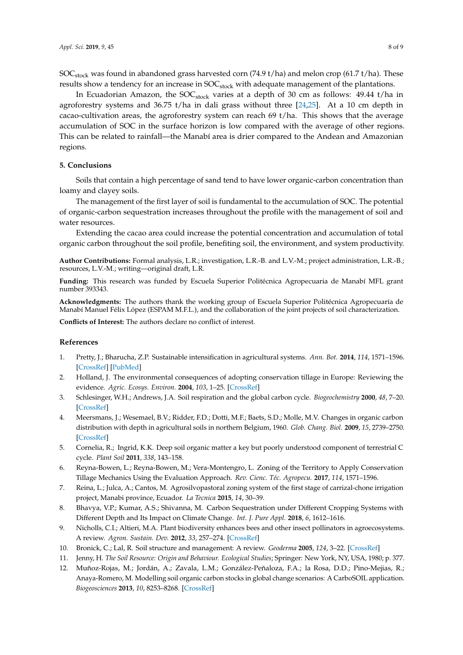SOC<sub>stock</sub> was found in abandoned grass harvested corn (74.9 t/ha) and melon crop (61.7 t/ha). These results show a tendency for an increase in  $SOC<sub>stock</sub>$  with adequate management of the plantations.

In Ecuadorian Amazon, the  $SOC_{stock}$  varies at a depth of 30 cm as follows: 49.44 t/ha in agroforestry systems and 36.75 t/ha in dali grass without three  $[24,25]$  $[24,25]$ . At a 10 cm depth in cacao-cultivation areas, the agroforestry system can reach 69 t/ha. This shows that the average accumulation of SOC in the surface horizon is low compared with the average of other regions. This can be related to rainfall—the Manabí area is drier compared to the Andean and Amazonian regions.

# **5. Conclusions**

Soils that contain a high percentage of sand tend to have lower organic-carbon concentration than loamy and clayey soils.

The management of the first layer of soil is fundamental to the accumulation of SOC. The potential of organic-carbon sequestration increases throughout the profile with the management of soil and water resources.

Extending the cacao area could increase the potential concentration and accumulation of total organic carbon throughout the soil profile, benefiting soil, the environment, and system productivity.

**Author Contributions:** Formal analysis, L.R.; investigation, L.R.-B. and L.V.-M.; project administration, L.R.-B.; resources, L.V.-M.; writing—original draft, L.R.

**Funding:** This research was funded by Escuela Superior Politécnica Agropecuaria de Manabí MFL grant number 393343.

**Acknowledgments:** The authors thank the working group of Escuela Superior Politécnica Agropecuaría de Manabí Manuel Félix López (ESPAM M.F.L.), and the collaboration of the joint projects of soil characterization.

**Conflicts of Interest:** The authors declare no conflict of interest.

#### **References**

- <span id="page-7-0"></span>1. Pretty, J.; Bharucha, Z.P. Sustainable intensification in agricultural systems. *Ann. Bot.* **2014**, *114*, 1571–1596. [\[CrossRef\]](http://dx.doi.org/10.1093/aob/mcu205) [\[PubMed\]](http://www.ncbi.nlm.nih.gov/pubmed/25351192)
- <span id="page-7-1"></span>2. Holland, J. The environmental consequences of adopting conservation tillage in Europe: Reviewing the evidence. *Agric. Ecosys. Environ.* **2004**, *103*, 1–25. [\[CrossRef\]](http://dx.doi.org/10.1016/j.agee.2003.12.018)
- <span id="page-7-2"></span>3. Schlesinger, W.H.; Andrews, J.A. Soil respiration and the global carbon cycle. *Biogeochemistry* **2000**, *48*, 7–20. [\[CrossRef\]](http://dx.doi.org/10.1023/A:1006247623877)
- <span id="page-7-3"></span>4. Meersmans, J.; Wesemael, B.V.; Ridder, F.D.; Dotti, M.F.; Baets, S.D.; Molle, M.V. Changes in organic carbon distribution with depth in agricultural soils in northern Belgium, 1960. *Glob. Chang. Biol.* **2009**, *15*, 2739–2750. [\[CrossRef\]](http://dx.doi.org/10.1111/j.1365-2486.2009.01855.x)
- <span id="page-7-4"></span>5. Cornelia, R.; Ingrid, K.K. Deep soil organic matter a key but poorly understood component of terrestrial C cycle. *Plant Soil* **2011**, *338*, 143–158.
- <span id="page-7-5"></span>6. Reyna-Bowen, L.; Reyna-Bowen, M.; Vera-Montengro, L. Zoning of the Territory to Apply Conservation Tillage Mechanics Using the Evaluation Approach. *Rev. Cienc. Téc. Agropecu.* **2017**, *114*, 1571–1596.
- <span id="page-7-6"></span>7. Reina, L.; Julca, A.; Cantos, M. Agrosilvopastoral zoning system of the first stage of carrizal-chone irrigation project, Manabi province, Ecuador. *La Tecnica* **2015**, *14*, 30–39.
- <span id="page-7-7"></span>8. Bhavya, V.P.; Kumar, A.S.; Shivanna, M. Carbon Sequestration under Different Cropping Systems with Different Depth and Its Impact on Climate Change. *Int. J. Pure Appl.* **2018**, *6*, 1612–1616.
- <span id="page-7-8"></span>9. Nicholls, C.I.; Altieri, M.A. Plant biodiversity enhances bees and other insect pollinators in agroecosystems. A review. *Agron. Sustain. Dev.* **2012**, *33*, 257–274. [\[CrossRef\]](http://dx.doi.org/10.1007/s13593-012-0092-y)
- <span id="page-7-9"></span>10. Bronick, C.; Lal, R. Soil structure and management: A review. *Geoderma* **2005**, *124*, 3–22. [\[CrossRef\]](http://dx.doi.org/10.1016/j.geoderma.2004.03.005)
- <span id="page-7-10"></span>11. Jenny, H. *The Soil Resource: Origin and Behaviour. Ecological Studies*; Springer: New York, NY, USA, 1980; p. 377.
- <span id="page-7-11"></span>12. Muñoz-Rojas, M.; Jordán, A.; Zavala, L.M.; González-Peñaloza, F.A.; la Rosa, D.D.; Pino-Mejias, R.; Anaya-Romero, M. Modelling soil organic carbon stocks in global change scenarios: A CarboSOIL application. *Biogeosciences* **2013**, *10*, 8253–8268. [\[CrossRef\]](http://dx.doi.org/10.5194/bg-10-8253-2013)